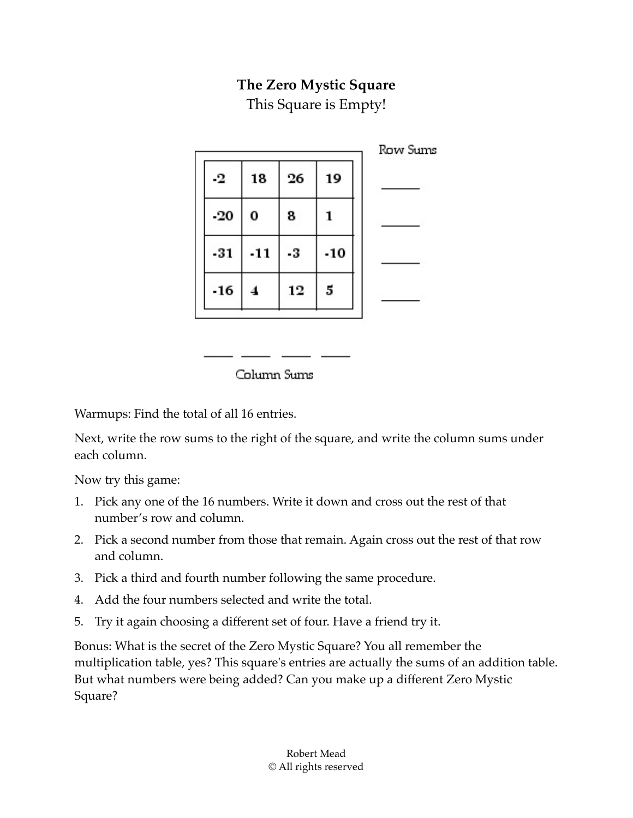## **The Zero Mystic Square**

This Square is Empty!

|       |       |    |       | Row Sums |
|-------|-------|----|-------|----------|
| -2    | 18    | 26 | 19    |          |
| $-20$ | 0     | 8  |       |          |
| $-31$ | $-11$ | -3 | $-10$ |          |
| $-16$ |       | 12 | 5     |          |
|       |       |    |       |          |

Column Sums

<u> De Santon de Sant</u>

Warmups: Find the total of all 16 entries.

Next, write the row sums to the right of the square, and write the column sums under each column.

Now try this game:

- 1. Pick any one of the 16 numbers. Write it down and cross out the rest of that number's row and column.
- 2. Pick a second number from those that remain. Again cross out the rest of that row and column.
- 3. Pick a third and fourth number following the same procedure.
- 4. Add the four numbers selected and write the total.
- 5. Try it again choosing a different set of four. Have a friend try it.

Bonus: What is the secret of the Zero Mystic Square? You all remember the multiplication table, yes? This square's entries are actually the sums of an addition table. But what numbers were being added? Can you make up a different Zero Mystic Square?